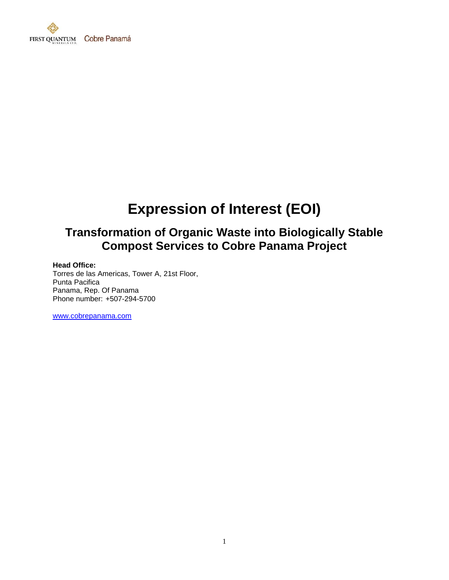

# **Expression of Interest (EOI)**

## **Transformation of Organic Waste into Biologically Stable Compost Services to Cobre Panama Project**

#### **Head Office:**

Torres de las Americas, Tower A, 21st Floor, Punta Pacifica Panama, Rep. Of Panama Phone number: +507-294-5700

[www.cobrepanama.com](http://www.cobrepanama.com/)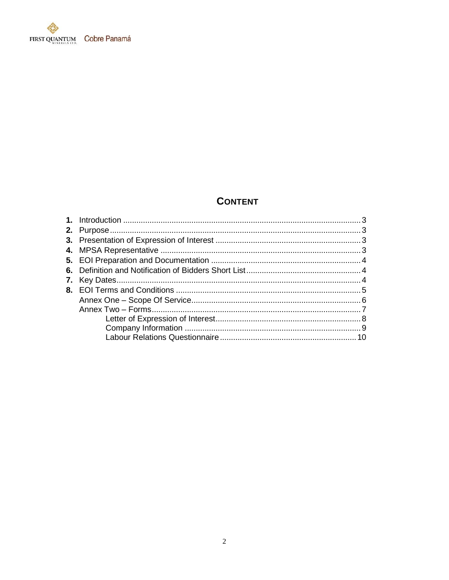

## **CONTENT**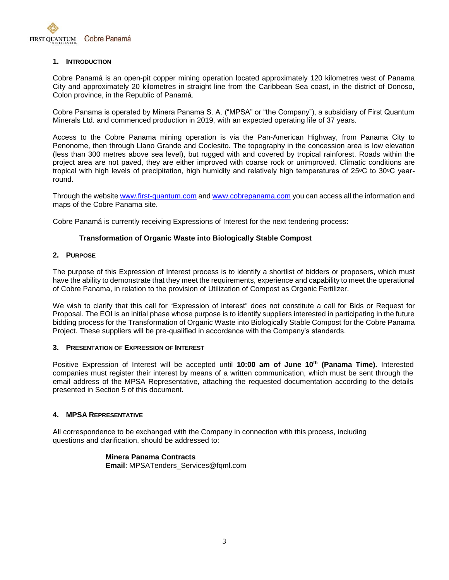

#### **1. INTRODUCTION**

Cobre Panamá is an open-pit copper mining operation located approximately 120 kilometres west of Panama City and approximately 20 kilometres in straight line from the Caribbean Sea coast, in the district of Donoso, Colon province, in the Republic of Panamá.

Cobre Panama is operated by Minera Panama S. A. ("MPSA" or "the Company"), a subsidiary of First Quantum Minerals Ltd. and commenced production in 2019, with an expected operating life of 37 years.

Access to the Cobre Panama mining operation is via the Pan-American Highway, from Panama City to Penonome, then through Llano Grande and Coclesito. The topography in the concession area is low elevation (less than 300 metres above sea level), but rugged with and covered by tropical rainforest. Roads within the project area are not paved, they are either improved with coarse rock or unimproved. Climatic conditions are tropical with high levels of precipitation, high humidity and relatively high temperatures of 25 $\degree$ C to 30 $\degree$ C yearround.

Through the website [www.first-quantum.com](http://www.first-quantum.com/) an[d www.cobrepanama.com](http://www.cobrepanama.com/) you can access all the information and maps of the Cobre Panama site.

Cobre Panamá is currently receiving Expressions of Interest for the next tendering process:

#### **Transformation of Organic Waste into Biologically Stable Compost**

#### **2. PURPOSE**

The purpose of this Expression of Interest process is to identify a shortlist of bidders or proposers, which must have the ability to demonstrate that they meet the requirements, experience and capability to meet the operational of Cobre Panama, in relation to the provision of Utilization of Compost as Organic Fertilizer.

We wish to clarify that this call for "Expression of interest" does not constitute a call for Bids or Request for Proposal. The EOI is an initial phase whose purpose is to identify suppliers interested in participating in the future bidding process for the Transformation of Organic Waste into Biologically Stable Compost for the Cobre Panama Project. These suppliers will be pre-qualified in accordance with the Company's standards.

#### **3. PRESENTATION OF EXPRESSION OF INTEREST**

Positive Expression of Interest will be accepted until **10:00 am of June 10th (Panama Time).** Interested companies must register their interest by means of a written communication, which must be sent through the email address of the MPSA Representative, attaching the requested documentation according to the details presented in Section 5 of this document.

#### **4. MPSA REPRESENTATIVE**

All correspondence to be exchanged with the Company in connection with this process, including questions and clarification, should be addressed to:

> **Minera Panama Contracts Email**: MPSATenders\_Services@fqml.com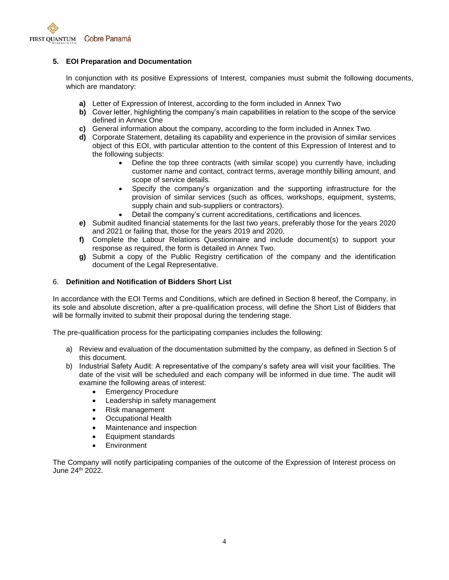

#### **5. EOI Preparation and Documentation**

In conjunction with its positive Expressions of Interest, companies must submit the following documents, which are mandatory:

- **a)** Letter of Expression of Interest, according to the form included in Annex Two
- **b)** Cover letter, highlighting the company's main capabilities in relation to the scope of the service defined in Annex One
- **c)** General information about the company, according to the form included in Annex Two.
- **d)** Corporate Statement, detailing its capability and experience in the provision of similar services object of this EOI, with particular attention to the content of this Expression of Interest and to the following subjects:
	- Define the top three contracts (with similar scope) you currently have, including customer name and contact, contract terms, average monthly billing amount, and scope of service details.
	- Specify the company's organization and the supporting infrastructure for the provision of similar services (such as offices, workshops, equipment, systems, supply chain and sub-suppliers or contractors).
	- Detail the company's current accreditations, certifications and licences.
- **e)** Submit audited financial statements for the last two years, preferably those for the years 2020 and 2021 or failing that, those for the years 2019 and 2020.
- **f)** Complete the Labour Relations Questionnaire and include document(s) to support your response as required, the form is detailed in Annex Two.
- **g)** Submit a copy of the Public Registry certification of the company and the identification document of the Legal Representative.

#### 6. **Definition and Notification of Bidders Short List**

In accordance with the EOI Terms and Conditions, which are defined in Section 8 hereof, the Company, in its sole and absolute discretion, after a pre-qualification process, will define the Short List of Bidders that will be formally invited to submit their proposal during the tendering stage.

The pre-qualification process for the participating companies includes the following:

- a) Review and evaluation of the documentation submitted by the company, as defined in Section 5 of this document.
- b) Industrial Safety Audit: A representative of the company's safety area will visit your facilities. The date of the visit will be scheduled and each company will be informed in due time. The audit will examine the following areas of interest:
	- **Emergency Procedure**
	- Leadership in safety management
	- Risk management
	- Occupational Health
	- Maintenance and inspection
	- Equipment standards
	- Environment

The Company will notify participating companies of the outcome of the Expression of Interest process on June 24th 2022.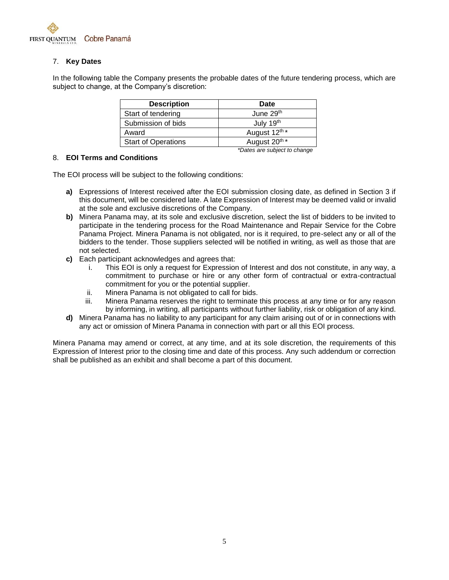

#### 7. **Key Dates**

In the following table the Company presents the probable dates of the future tendering process, which are subject to change, at the Company's discretion:

| <b>Description</b>         | <b>Date</b>                  |
|----------------------------|------------------------------|
| Start of tendering         | June 29th                    |
| Submission of bids         | July 19 <sup>th</sup>        |
| Award                      | August 12 <sup>th *</sup>    |
| <b>Start of Operations</b> | August 20 <sup>th *</sup>    |
|                            | *Dates are subject to change |

#### 8. **EOI Terms and Conditions**

The EOI process will be subject to the following conditions:

- **a)** Expressions of Interest received after the EOI submission closing date, as defined in Section 3 if this document, will be considered late. A late Expression of Interest may be deemed valid or invalid at the sole and exclusive discretions of the Company.
- **b)** Minera Panama may, at its sole and exclusive discretion, select the list of bidders to be invited to participate in the tendering process for the Road Maintenance and Repair Service for the Cobre Panama Project. Minera Panama is not obligated, nor is it required, to pre-select any or all of the bidders to the tender. Those suppliers selected will be notified in writing, as well as those that are not selected.
- **c)** Each participant acknowledges and agrees that:
	- i. This EOI is only a request for Expression of Interest and dos not constitute, in any way, a commitment to purchase or hire or any other form of contractual or extra-contractual commitment for you or the potential supplier.
	- ii. Minera Panama is not obligated to call for bids.
	- iii. Minera Panama reserves the right to terminate this process at any time or for any reason by informing, in writing, all participants without further liability, risk or obligation of any kind.
- **d)** Minera Panama has no liability to any participant for any claim arising out of or in connections with any act or omission of Minera Panama in connection with part or all this EOI process.

Minera Panama may amend or correct, at any time, and at its sole discretion, the requirements of this Expression of Interest prior to the closing time and date of this process. Any such addendum or correction shall be published as an exhibit and shall become a part of this document.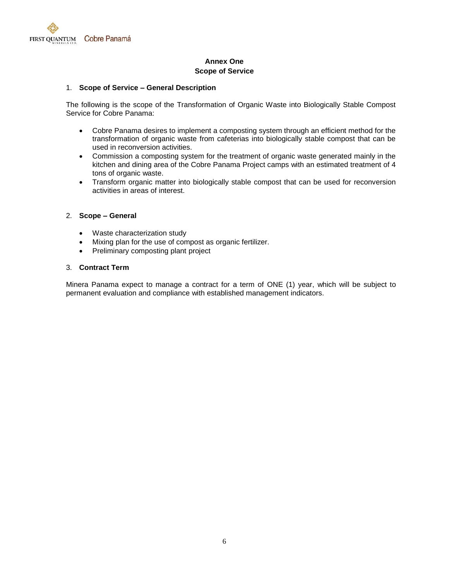

#### **Annex One Scope of Service**

#### 1. **Scope of Service – General Description**

The following is the scope of the Transformation of Organic Waste into Biologically Stable Compost Service for Cobre Panama:

- Cobre Panama desires to implement a composting system through an efficient method for the transformation of organic waste from cafeterias into biologically stable compost that can be used in reconversion activities.
- Commission a composting system for the treatment of organic waste generated mainly in the kitchen and dining area of the Cobre Panama Project camps with an estimated treatment of 4 tons of organic waste.
- Transform organic matter into biologically stable compost that can be used for reconversion activities in areas of interest.

#### 2. **Scope – General**

- Waste characterization study
- Mixing plan for the use of compost as organic fertilizer.
- Preliminary composting plant project

#### 3. **Contract Term**

Minera Panama expect to manage a contract for a term of ONE (1) year, which will be subject to permanent evaluation and compliance with established management indicators.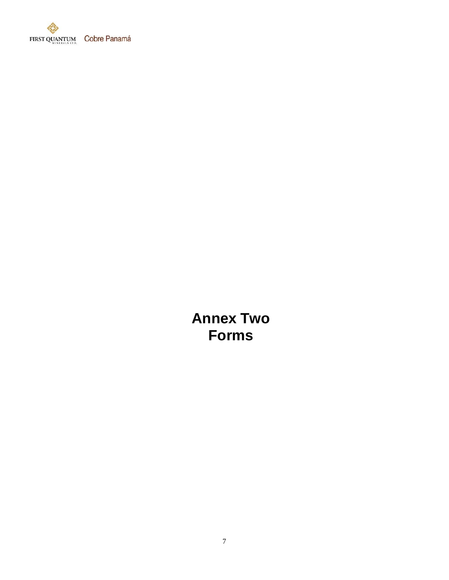

**Annex Two Forms**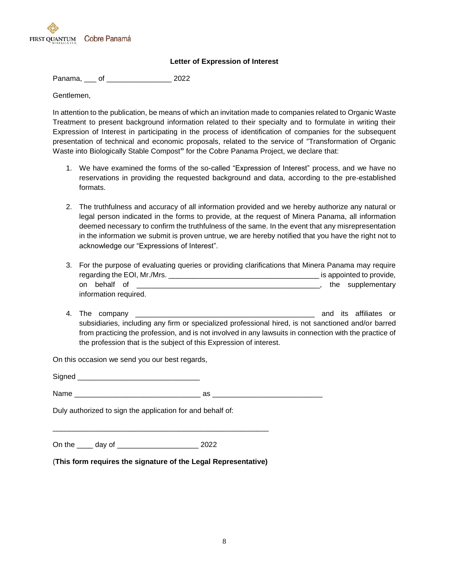

#### **Letter of Expression of Interest**

Panama, \_\_\_ of \_\_\_\_\_\_\_\_\_\_\_\_\_\_\_\_ 2022

Gentlemen,

In attention to the publication, be means of which an invitation made to companies related to Organic Waste Treatment to present background information related to their specialty and to formulate in writing their Expression of Interest in participating in the process of identification of companies for the subsequent presentation of technical and economic proposals, related to the service of "Transformation of Organic Waste into Biologically Stable Compost**"** for the Cobre Panama Project, we declare that:

- 1. We have examined the forms of the so-called "Expression of Interest" process, and we have no reservations in providing the requested background and data, according to the pre-established formats.
- 2. The truthfulness and accuracy of all information provided and we hereby authorize any natural or legal person indicated in the forms to provide, at the request of Minera Panama, all information deemed necessary to confirm the truthfulness of the same. In the event that any misrepresentation in the information we submit is proven untrue, we are hereby notified that you have the right not to acknowledge our "Expressions of Interest".
- 3. For the purpose of evaluating queries or providing clarifications that Minera Panama may require regarding the EOI, Mr./Mrs. \_\_\_\_\_\_\_\_\_\_\_\_\_\_\_\_\_\_\_\_\_\_\_\_\_\_\_\_\_\_\_\_\_\_\_\_\_ is appointed to provide, on behalf of \_\_\_\_\_\_\_\_\_\_\_\_\_\_\_\_\_\_\_\_\_\_\_\_\_\_\_\_\_\_\_\_\_\_\_\_\_\_\_\_\_\_\_\_\_, the supplementary information required.
- 4. The company \_\_\_\_\_\_\_\_\_\_\_\_\_\_\_\_\_\_\_\_\_\_\_\_\_\_\_\_\_\_\_\_\_\_\_\_\_\_\_\_\_\_\_\_ and its affiliates or subsidiaries, including any firm or specialized professional hired, is not sanctioned and/or barred from practicing the profession, and is not involved in any lawsuits in connection with the practice of the profession that is the subject of this Expression of interest.

On this occasion we send you our best regards,

Signed **and**  $N$ ame  $\qquad \qquad \text{as}$ 

Duly authorized to sign the application for and behalf of:

On the \_\_\_\_ day of \_\_\_\_\_\_\_\_\_\_\_\_\_\_\_\_\_\_\_\_ 2022

(**This form requires the signature of the Legal Representative)**

\_\_\_\_\_\_\_\_\_\_\_\_\_\_\_\_\_\_\_\_\_\_\_\_\_\_\_\_\_\_\_\_\_\_\_\_\_\_\_\_\_\_\_\_\_\_\_\_\_\_\_\_\_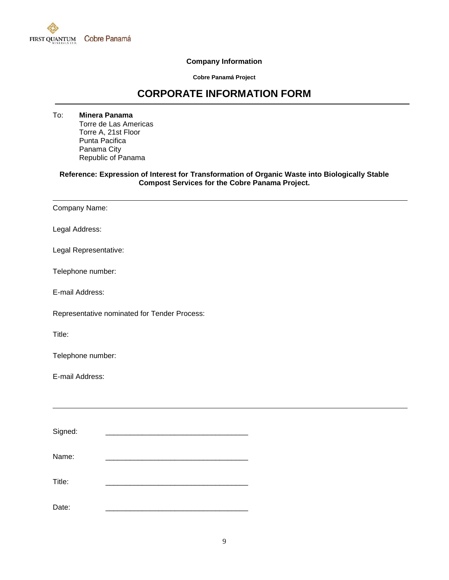

#### **Company Information**

**Cobre Panamá Project**

## **CORPORATE INFORMATION FORM**

To: **Minera Panama** Torre de Las Americas Torre A, 21st Floor Punta Pacifica Panama City Republic of Panama

#### **Reference: Expression of Interest for Transformation of Organic Waste into Biologically Stable Compost Services for the Cobre Panama Project.**

| Company Name: |  |
|---------------|--|
|               |  |

Legal Address:

Legal Representative:

Telephone number:

E-mail Address:

Representative nominated for Tender Process:

Title:

Telephone number:

E-mail Address:

| Signed: |  |
|---------|--|
| Name:   |  |
| Title:  |  |
| Date:   |  |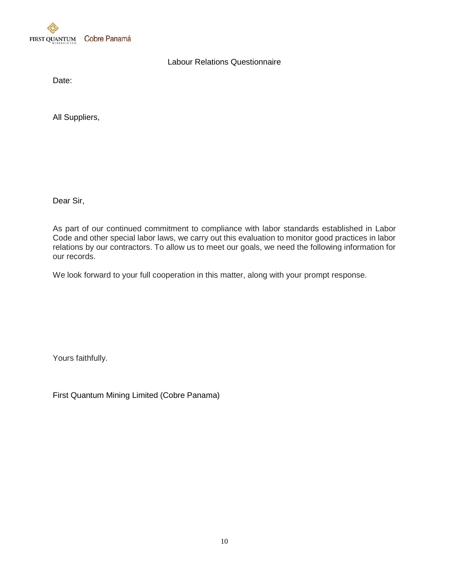

### Labour Relations Questionnaire

Date:

All Suppliers,

Dear Sir,

As part of our continued commitment to compliance with labor standards established in Labor Code and other special labor laws, we carry out this evaluation to monitor good practices in labor relations by our contractors. To allow us to meet our goals, we need the following information for our records.

We look forward to your full cooperation in this matter, along with your prompt response.

Yours faithfully.

First Quantum Mining Limited (Cobre Panama)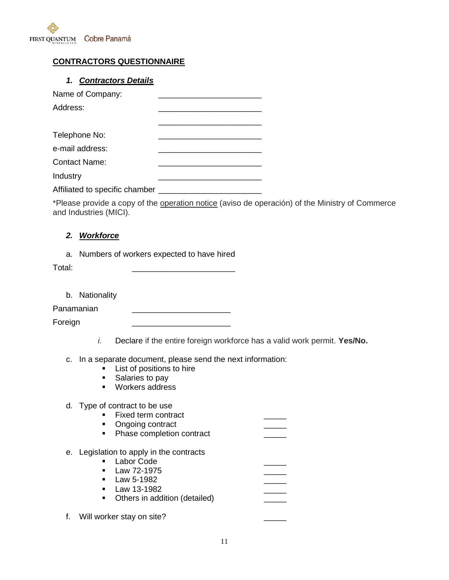

## **CONTRACTORS QUESTIONNAIRE**

## *1. Contractors Details*

| Name of Company:               |  |
|--------------------------------|--|
| Address:                       |  |
|                                |  |
| Telephone No:                  |  |
| e-mail address:                |  |
| <b>Contact Name:</b>           |  |
| Industry                       |  |
| Affiliated to specific chamber |  |

\*Please provide a copy of the operation notice (aviso de operación) of the Ministry of Commerce and Industries (MICI).

#### *2. Workforce*

a. Numbers of workers expected to have hired

Total: \_\_\_\_\_\_\_\_\_\_\_\_\_\_\_\_\_\_\_\_\_\_\_

b. Nationality

Panamanian \_\_\_\_\_\_\_\_\_\_\_\_\_\_\_\_\_\_\_\_\_\_

Foreign

- *i.* Declare if the entire foreign workforce has a valid work permit. **Yes/No.**
- c. In a separate document, please send the next information:
	- **List of positions to hire**
	- Salaries to pay
	- **Workers address**

#### d. Type of contract to be use

- Fixed term contract
- Ongoing contract
- Phase completion contract
- e. Legislation to apply in the contracts
	- **-** Labor Code  $\blacksquare$  Law 72-1975
	- $\blacksquare$  Law 5-1982
	- $\blacksquare$  Law 13-1982
	-
	- Others in addition (detailed)

f. Will worker stay on site?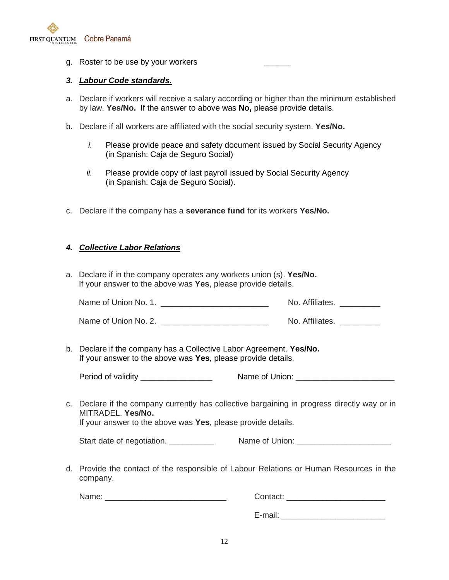

g. Roster to be use by your workers

#### *3. Labour Code standards.*

- a. Declare if workers will receive a salary according or higher than the minimum established by law. **Yes/No.** If the answer to above was **No,** please provide details.
- b. Declare if all workers are affiliated with the social security system. **Yes/No.**
	- *i.* Please provide peace and safety document issued by Social Security Agency (in Spanish: Caja de Seguro Social)
	- *ii.* Please provide copy of last payroll issued by Social Security Agency (in Spanish: Caja de Seguro Social).
- c. Declare if the company has a **severance fund** for its workers **Yes/No.**

#### *4. Collective Labor Relations*

a. Declare if in the company operates any workers union (s). **Yes/No.** If your answer to the above was **Yes**, please provide details.

| Name of Union No. 1. | No. Affiliates. |
|----------------------|-----------------|
|----------------------|-----------------|

| Name of Union No. 2. | No. Affiliates. |
|----------------------|-----------------|
|----------------------|-----------------|

b. Declare if the company has a Collective Labor Agreement. **Yes/No.** If your answer to the above was **Yes**, please provide details.

Period of validity \_\_\_\_\_\_\_\_\_\_\_\_\_\_\_\_ Name of Union: \_\_\_\_\_\_\_\_\_\_\_\_\_\_\_\_\_\_\_\_\_\_

c. Declare if the company currently has collective bargaining in progress directly way or in MITRADEL. **Yes/No.**

If your answer to the above was **Yes**, please provide details.

| Start date of negotiation. | Name of Union: |
|----------------------------|----------------|
|----------------------------|----------------|

d. Provide the contact of the responsible of Labour Relations or Human Resources in the company.

Name: etc. and the contact:  $\sim$  Contact:  $\sim$  Contact:  $\sim$  2001  $\sim$  2001  $\sim$  2001  $\sim$  2001  $\sim$  2001  $\sim$  2001  $\sim$  2001  $\sim$  2001  $\sim$  2001  $\sim$  2001  $\sim$  2001  $\sim$  2001  $\sim$  2001  $\sim$  2001  $\sim$  2001  $\sim$  2001  $\sim$  2

E-mail: **E-mail:**  $\blacksquare$